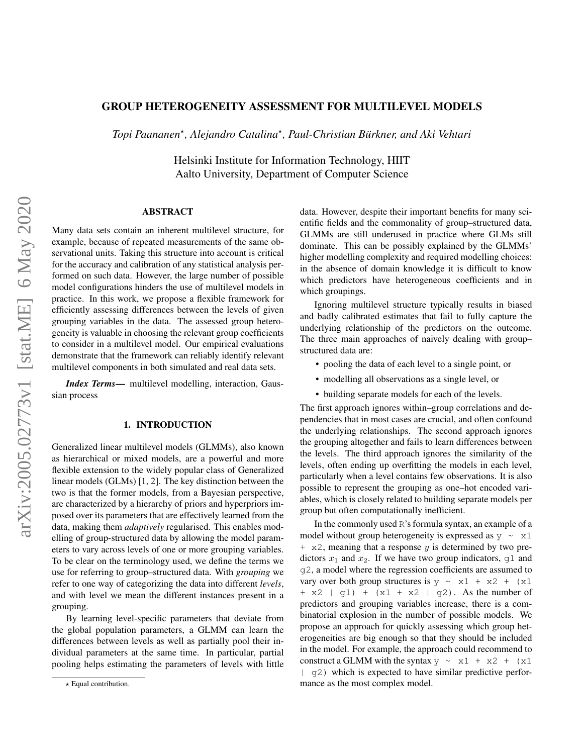# GROUP HETEROGENEITY ASSESSMENT FOR MULTILEVEL MODELS

*Topi Paananen*? *, Alejandro Catalina*? *, Paul-Christian Burkner, and Aki Vehtari ¨*

Helsinki Institute for Information Technology, HIIT Aalto University, Department of Computer Science

## ABSTRACT

Many data sets contain an inherent multilevel structure, for example, because of repeated measurements of the same observational units. Taking this structure into account is critical for the accuracy and calibration of any statistical analysis performed on such data. However, the large number of possible model configurations hinders the use of multilevel models in practice. In this work, we propose a flexible framework for efficiently assessing differences between the levels of given grouping variables in the data. The assessed group heterogeneity is valuable in choosing the relevant group coefficients to consider in a multilevel model. Our empirical evaluations demonstrate that the framework can reliably identify relevant multilevel components in both simulated and real data sets.

*Index Terms*— multilevel modelling, interaction, Gaussian process

# 1. INTRODUCTION

Generalized linear multilevel models (GLMMs), also known as hierarchical or mixed models, are a powerful and more flexible extension to the widely popular class of Generalized linear models (GLMs) [\[1,](#page-5-0) [2\]](#page-5-1). The key distinction between the two is that the former models, from a Bayesian perspective, are characterized by a hierarchy of priors and hyperpriors imposed over its parameters that are effectively learned from the data, making them *adaptively* regularised. This enables modelling of group-structured data by allowing the model parameters to vary across levels of one or more grouping variables. To be clear on the terminology used, we define the terms we use for referring to group–structured data. With *grouping* we refer to one way of categorizing the data into different *levels*, and with level we mean the different instances present in a grouping.

By learning level-specific parameters that deviate from the global population parameters, a GLMM can learn the differences between levels as well as partially pool their individual parameters at the same time. In particular, partial pooling helps estimating the parameters of levels with little

data. However, despite their important benefits for many scientific fields and the commonality of group–structured data, GLMMs are still underused in practice where GLMs still dominate. This can be possibly explained by the GLMMs' higher modelling complexity and required modelling choices: in the absence of domain knowledge it is difficult to know which predictors have heterogeneous coefficients and in which groupings.

Ignoring multilevel structure typically results in biased and badly calibrated estimates that fail to fully capture the underlying relationship of the predictors on the outcome. The three main approaches of naively dealing with group– structured data are:

- pooling the data of each level to a single point, or
- modelling all observations as a single level, or
- building separate models for each of the levels.

The first approach ignores within–group correlations and dependencies that in most cases are crucial, and often confound the underlying relationships. The second approach ignores the grouping altogether and fails to learn differences between the levels. The third approach ignores the similarity of the levels, often ending up overfitting the models in each level, particularly when a level contains few observations. It is also possible to represent the grouping as one–hot encoded variables, which is closely related to building separate models per group but often computationally inefficient.

In the commonly used R's formula syntax, an example of a model without group heterogeneity is expressed as  $y \sim x1$  $+ x2$ , meaning that a response y is determined by two predictors  $x_1$  and  $x_2$ . If we have two group indicators,  $g1$  and g2, a model where the regression coefficients are assumed to vary over both group structures is  $y \sim x1 + x2 + (x1$  $+ x2 + g1 + (x1 + x2 + g2)$ . As the number of predictors and grouping variables increase, there is a combinatorial explosion in the number of possible models. We propose an approach for quickly assessing which group heterogeneities are big enough so that they should be included in the model. For example, the approach could recommend to construct a GLMM with the syntax  $y \sim x1 + x2 + (x1$ | g2) which is expected to have similar predictive performance as the most complex model.

 $\star$  Equal contribution.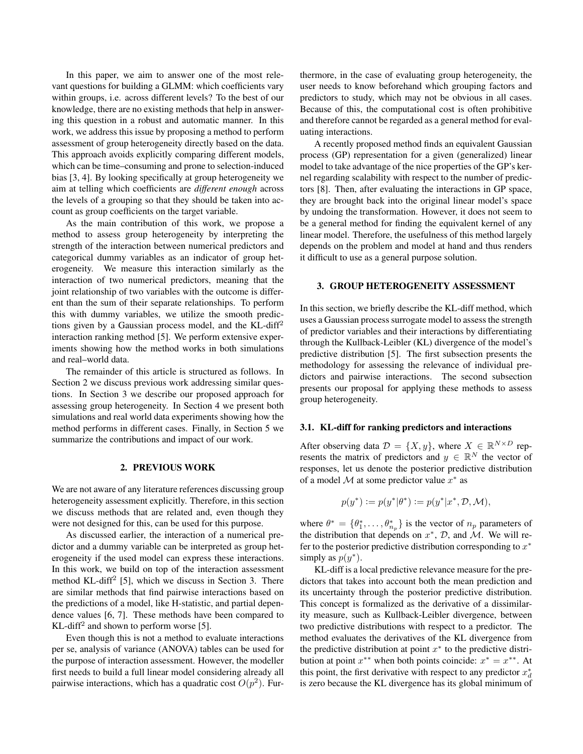In this paper, we aim to answer one of the most relevant questions for building a GLMM: which coefficients vary within groups, i.e. across different levels? To the best of our knowledge, there are no existing methods that help in answering this question in a robust and automatic manner. In this work, we address this issue by proposing a method to perform assessment of group heterogeneity directly based on the data. This approach avoids explicitly comparing different models, which can be time–consuming and prone to selection-induced bias [\[3,](#page-5-2) [4\]](#page-5-3). By looking specifically at group heterogeneity we aim at telling which coefficients are *different enough* across the levels of a grouping so that they should be taken into account as group coefficients on the target variable.

As the main contribution of this work, we propose a method to assess group heterogeneity by interpreting the strength of the interaction between numerical predictors and categorical dummy variables as an indicator of group heterogeneity. We measure this interaction similarly as the interaction of two numerical predictors, meaning that the joint relationship of two variables with the outcome is different than the sum of their separate relationships. To perform this with dummy variables, we utilize the smooth predictions given by a Gaussian process model, and the KL-diff<sup>2</sup> interaction ranking method [\[5\]](#page-5-4). We perform extensive experiments showing how the method works in both simulations and real–world data.

The remainder of this article is structured as follows. In Section [2](#page-1-0) we discuss previous work addressing similar questions. In Section [3](#page-1-1) we describe our proposed approach for assessing group heterogeneity. In Section [4](#page-2-0) we present both simulations and real world data experiments showing how the method performs in different cases. Finally, in Section [5](#page-5-5) we summarize the contributions and impact of our work.

#### 2. PREVIOUS WORK

<span id="page-1-0"></span>We are not aware of any literature references discussing group heterogeneity assessment explicitly. Therefore, in this section we discuss methods that are related and, even though they were not designed for this, can be used for this purpose.

As discussed earlier, the interaction of a numerical predictor and a dummy variable can be interpreted as group heterogeneity if the used model can express these interactions. In this work, we build on top of the interaction assessment method KL-diff<sup>2</sup> [\[5\]](#page-5-4), which we discuss in Section [3.](#page-1-1) There are similar methods that find pairwise interactions based on the predictions of a model, like H-statistic, and partial dependence values [\[6,](#page-5-6) [7\]](#page-5-7). These methods have been compared to KL-diff<sup>2</sup> and shown to perform worse [\[5\]](#page-5-4).

Even though this is not a method to evaluate interactions per se, analysis of variance (ANOVA) tables can be used for the purpose of interaction assessment. However, the modeller first needs to build a full linear model considering already all pairwise interactions, which has a quadratic cost  $O(p^2)$ . Furthermore, in the case of evaluating group heterogeneity, the user needs to know beforehand which grouping factors and predictors to study, which may not be obvious in all cases. Because of this, the computational cost is often prohibitive and therefore cannot be regarded as a general method for evaluating interactions.

A recently proposed method finds an equivalent Gaussian process (GP) representation for a given (generalized) linear model to take advantage of the nice properties of the GP's kernel regarding scalability with respect to the number of predictors [\[8\]](#page-6-0). Then, after evaluating the interactions in GP space, they are brought back into the original linear model's space by undoing the transformation. However, it does not seem to be a general method for finding the equivalent kernel of any linear model. Therefore, the usefulness of this method largely depends on the problem and model at hand and thus renders it difficult to use as a general purpose solution.

#### <span id="page-1-1"></span>3. GROUP HETEROGENEITY ASSESSMENT

In this section, we briefly describe the KL-diff method, which uses a Gaussian process surrogate model to assess the strength of predictor variables and their interactions by differentiating through the Kullback-Leibler (KL) divergence of the model's predictive distribution [\[5\]](#page-5-4). The first subsection presents the methodology for assessing the relevance of individual predictors and pairwise interactions. The second subsection presents our proposal for applying these methods to assess group heterogeneity.

## 3.1. KL-diff for ranking predictors and interactions

After observing data  $\mathcal{D} = \{X, y\}$ , where  $X \in \mathbb{R}^{N \times D}$  represents the matrix of predictors and  $y \in \mathbb{R}^N$  the vector of responses, let us denote the posterior predictive distribution of a model M at some predictor value  $x^*$  as

$$
p(y^*):=p(y^*|\theta^*):=p(y^*|x^*,\mathcal{D},\mathcal{M}),
$$

where  $\theta^* = {\theta_1^*, \dots, \theta_{n_p}^*}$  is the vector of  $n_p$  parameters of the distribution that depends on  $x^*$ ,  $\mathcal{D}$ , and  $\mathcal{M}$ . We will refer to the posterior predictive distribution corresponding to  $x^*$ simply as  $p(y^*)$ .

KL-diff is a local predictive relevance measure for the predictors that takes into account both the mean prediction and its uncertainty through the posterior predictive distribution. This concept is formalized as the derivative of a dissimilarity measure, such as Kullback-Leibler divergence, between two predictive distributions with respect to a predictor. The method evaluates the derivatives of the KL divergence from the predictive distribution at point  $x^*$  to the predictive distribution at point  $x^{**}$  when both points coincide:  $x^* = x^{**}$ . At this point, the first derivative with respect to any predictor  $x_d^*$ is zero because the KL divergence has its global minimum of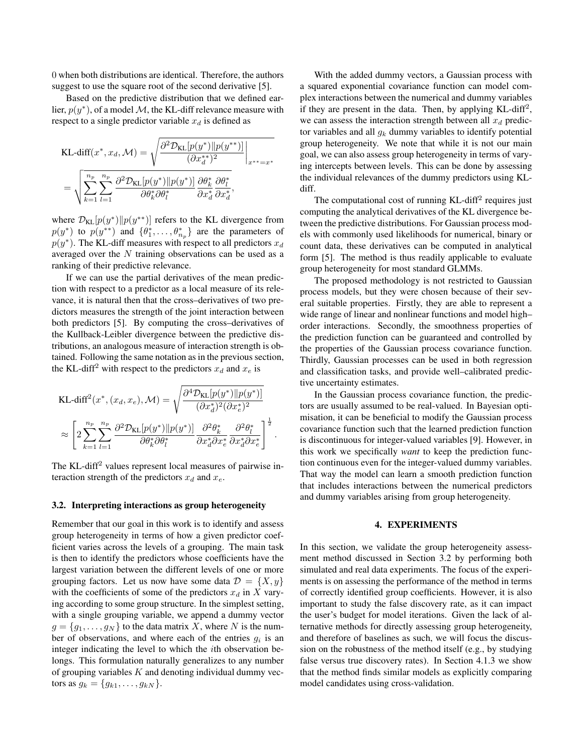0 when both distributions are identical. Therefore, the authors suggest to use the square root of the second derivative [\[5\]](#page-5-4).

Based on the predictive distribution that we defined earlier,  $p(y^*)$ , of a model M, the KL-diff relevance measure with respect to a single predictor variable  $x_d$  is defined as

$$
\begin{split} &\text{KL-diff}(x^*, x_d, \mathcal{M}) = \sqrt{\frac{\partial^2 \mathcal{D}_{\text{KL}}[p(y^*)] | p(y^{**})]}{(\partial x_d^{**})^2}} \bigg|_{x^{**}=x^*} \\ &= \sqrt{\sum_{k=1}^{n_p} \sum_{l=1}^{n_p} \frac{\partial^2 \mathcal{D}_{\text{KL}}[p(y^*)] | p(y^*)]}{\partial \theta_k^* \partial \theta_l^*} \frac{\partial \theta_k^*}{\partial x_d^*} \frac{\partial \theta_l^*}{\partial x_d^*}}, \end{split}
$$

where  $\mathcal{D}_{\text{KL}}[p(y^*)||p(y^{**})]$  refers to the KL divergence from  $p(y^*)$  to  $p(y^{**})$  and  $\{\theta_1^*, \dots, \theta_{n_p}^*\}$  are the parameters of  $p(y^*)$ . The KL-diff measures with respect to all predictors  $x_d$ averaged over the N training observations can be used as a ranking of their predictive relevance.

If we can use the partial derivatives of the mean prediction with respect to a predictor as a local measure of its relevance, it is natural then that the cross–derivatives of two predictors measures the strength of the joint interaction between both predictors [\[5\]](#page-5-4). By computing the cross–derivatives of the Kullback-Leibler divergence between the predictive distributions, an analogous measure of interaction strength is obtained. Following the same notation as in the previous section, the KL-diff<sup>2</sup> with respect to the predictors  $x_d$  and  $x_e$  is

KL-diff<sup>2</sup>(x<sup>\*</sup>, (x<sub>d</sub>, x<sub>e</sub>), M) = 
$$
\sqrt{\frac{\partial^4 \mathcal{D}_{KL}[p(y^*)||p(y^*)]}{(\partial x_d^*)^2(\partial x_e^*)^2}}
$$
  
\n $\approx \left[2\sum_{k=1}^{n_p}\sum_{l=1}^{n_p}\frac{\partial^2 \mathcal{D}_{KL}[p(y^*)||p(y^*)]}{\partial \theta_k^*\partial \theta_l^*} \frac{\partial^2 \theta_k^*}{\partial x_d^*\partial x_e^*} \frac{\partial^2 \theta_l^*}{\partial x_d^*\partial x_e^*}\right]^{\frac{1}{2}}.$ 

The KL-diff<sup>2</sup> values represent local measures of pairwise interaction strength of the predictors  $x_d$  and  $x_e$ .

#### <span id="page-2-1"></span>3.2. Interpreting interactions as group heterogeneity

Remember that our goal in this work is to identify and assess group heterogeneity in terms of how a given predictor coefficient varies across the levels of a grouping. The main task is then to identify the predictors whose coefficients have the largest variation between the different levels of one or more grouping factors. Let us now have some data  $\mathcal{D} = \{X, y\}$ with the coefficients of some of the predictors  $x_d$  in X varying according to some group structure. In the simplest setting, with a single grouping variable, we append a dummy vector  $g = \{g_1, \ldots, g_N\}$  to the data matrix X, where N is the number of observations, and where each of the entries  $g_i$  is an integer indicating the level to which the ith observation belongs. This formulation naturally generalizes to any number of grouping variables  $K$  and denoting individual dummy vectors as  $g_k = \{g_{k1}, \ldots, g_{kN}\}.$ 

With the added dummy vectors, a Gaussian process with a squared exponential covariance function can model complex interactions between the numerical and dummy variables if they are present in the data. Then, by applying  $KL$ -diff<sup>2</sup>, we can assess the interaction strength between all  $x_d$  predictor variables and all  $g_k$  dummy variables to identify potential group heterogeneity. We note that while it is not our main goal, we can also assess group heterogeneity in terms of varying intercepts between levels. This can be done by assessing the individual relevances of the dummy predictors using KLdiff.

The computational cost of running  $KL$ -diff<sup>2</sup> requires just computing the analytical derivatives of the KL divergence between the predictive distributions. For Gaussian process models with commonly used likelihoods for numerical, binary or count data, these derivatives can be computed in analytical form [\[5\]](#page-5-4). The method is thus readily applicable to evaluate group heterogeneity for most standard GLMMs.

The proposed methodology is not restricted to Gaussian process models, but they were chosen because of their several suitable properties. Firstly, they are able to represent a wide range of linear and nonlinear functions and model high– order interactions. Secondly, the smoothness properties of the prediction function can be guaranteed and controlled by the properties of the Gaussian process covariance function. Thirdly, Gaussian processes can be used in both regression and classification tasks, and provide well–calibrated predictive uncertainty estimates.

In the Gaussian process covariance function, the predictors are usually assumed to be real-valued. In Bayesian optimisation, it can be beneficial to modify the Gaussian process covariance function such that the learned prediction function is discontinuous for integer-valued variables [\[9\]](#page-6-1). However, in this work we specifically *want* to keep the prediction function continuous even for the integer-valued dummy variables. That way the model can learn a smooth prediction function that includes interactions between the numerical predictors and dummy variables arising from group heterogeneity.

#### 4. EXPERIMENTS

<span id="page-2-0"></span>In this section, we validate the group heterogeneity assessment method discussed in Section [3.2](#page-2-1) by performing both simulated and real data experiments. The focus of the experiments is on assessing the performance of the method in terms of correctly identified group coefficients. However, it is also important to study the false discovery rate, as it can impact the user's budget for model iterations. Given the lack of alternative methods for directly assessing group heterogeneity, and therefore of baselines as such, we will focus the discussion on the robustness of the method itself (e.g., by studying false versus true discovery rates). In Section [4.1.3](#page-4-0) we show that the method finds similar models as explicitly comparing model candidates using cross-validation.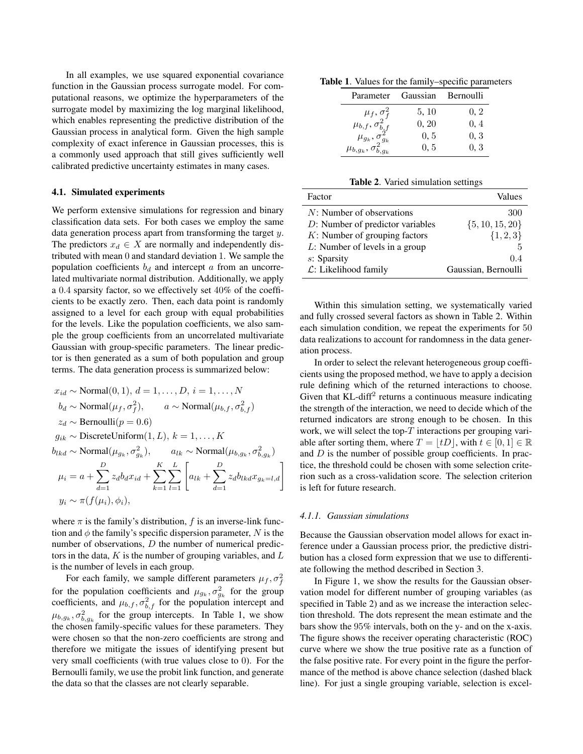In all examples, we use squared exponential covariance function in the Gaussian process surrogate model. For computational reasons, we optimize the hyperparameters of the surrogate model by maximizing the log marginal likelihood, which enables representing the predictive distribution of the Gaussian process in analytical form. Given the high sample complexity of exact inference in Gaussian processes, this is a commonly used approach that still gives sufficiently well calibrated predictive uncertainty estimates in many cases.

## 4.1. Simulated experiments

We perform extensive simulations for regression and binary classification data sets. For both cases we employ the same data generation process apart from transforming the target y. The predictors  $x_d \in X$  are normally and independently distributed with mean 0 and standard deviation 1. We sample the population coefficients  $b_d$  and intercept a from an uncorrelated multivariate normal distribution. Additionally, we apply a 0.4 sparsity factor, so we effectively set 40% of the coefficients to be exactly zero. Then, each data point is randomly assigned to a level for each group with equal probabilities for the levels. Like the population coefficients, we also sample the group coefficients from an uncorrelated multivariate Gaussian with group-specific parameters. The linear predictor is then generated as a sum of both population and group terms. The data generation process is summarized below:

$$
x_{id} \sim \text{Normal}(0, 1), d = 1, ..., D, i = 1, ..., N
$$
  
\n
$$
b_d \sim \text{Normal}(\mu_f, \sigma_f^2), \qquad a \sim \text{Normal}(\mu_{b,f}, \sigma_{b,f}^2)
$$
  
\n
$$
z_d \sim \text{Bernoulli}(p = 0.6)
$$
  
\n
$$
g_{ik} \sim \text{DiscreteUniform}(1, L), k = 1, ..., K
$$
  
\n
$$
b_{lkd} \sim \text{Normal}(\mu_{g_k}, \sigma_{g_k}^2), \qquad a_{lk} \sim \text{Normal}(\mu_{b,g_k}, \sigma_{b,g_k}^2)
$$
  
\n
$$
\mu_i = a + \sum_{d=1}^{D} z_d b_d x_{id} + \sum_{k=1}^{K} \sum_{l=1}^{L} \left[ a_{lk} + \sum_{d=1}^{D} z_d b_{lkd} x_{g_k = l, d} \right]
$$
  
\n
$$
y_i \sim \pi(f(\mu_i), \phi_i),
$$

where  $\pi$  is the family's distribution, f is an inverse-link function and  $\phi$  the family's specific dispersion parameter, N is the number of observations, D the number of numerical predictors in the data,  $K$  is the number of grouping variables, and  $L$ is the number of levels in each group.

For each family, we sample different parameters  $\mu_f, \sigma_f^2$ for the population coefficients and  $\mu_{g_k}, \sigma_{g_k}^2$  for the group coefficients, and  $\mu_{b,f}, \sigma_{b,f}^2$  for the population intercept and  $\mu_{b,g_k}, \sigma_{b,g_k}^2$  for the group intercepts. In Table [1,](#page-3-0) we show the chosen family-specific values for these parameters. They were chosen so that the non-zero coefficients are strong and therefore we mitigate the issues of identifying present but very small coefficients (with true values close to 0). For the Bernoulli family, we use the probit link function, and generate the data so that the classes are not clearly separable.

Table 1. Values for the family–specific parameters

<span id="page-3-0"></span>

| Parameter                                                                                                   | Gaussian | <b>Bernoulli</b> |
|-------------------------------------------------------------------------------------------------------------|----------|------------------|
|                                                                                                             | 5, 10    | 0, 2             |
|                                                                                                             | 0, 20    | 0, 4             |
|                                                                                                             | 0, 5     | 0, 3             |
| $\mu_f, \sigma^2_f \ \mu_{b,f}, \sigma^2_{b,f} \ \mu_{g_k}, \sigma^2_{g_k} \ \mu_{b,g_k}, \sigma^2_{b,g_k}$ | 0, 5     | 0.3              |

<span id="page-3-1"></span>Table 2. Varied simulation settings

| Factor                              | Values              |
|-------------------------------------|---------------------|
| $N$ : Number of observations        | 300                 |
| $D$ : Number of predictor variables | $\{5, 10, 15, 20\}$ |
| $K$ : Number of grouping factors    | $\{1, 2, 3\}$       |
| $L$ : Number of levels in a group   | 5                   |
| s: Sparsity                         | 0.4                 |
| $\mathcal{L}$ : Likelihood family   | Gaussian, Bernoulli |
|                                     |                     |

Within this simulation setting, we systematically varied and fully crossed several factors as shown in Table [2.](#page-3-1) Within each simulation condition, we repeat the experiments for 50 data realizations to account for randomness in the data generation process.

In order to select the relevant heterogeneous group coefficients using the proposed method, we have to apply a decision rule defining which of the returned interactions to choose. Given that KL-diff<sup>2</sup> returns a continuous measure indicating the strength of the interaction, we need to decide which of the returned indicators are strong enough to be chosen. In this work, we will select the top- $T$  interactions per grouping variable after sorting them, where  $T = |tD|$ , with  $t \in [0, 1] \in \mathbb{R}$ and  $D$  is the number of possible group coefficients. In practice, the threshold could be chosen with some selection criterion such as a cross-validation score. The selection criterion is left for future research.

## *4.1.1. Gaussian simulations*

Because the Gaussian observation model allows for exact inference under a Gaussian process prior, the predictive distribution has a closed form expression that we use to differentiate following the method described in Section [3.](#page-1-1)

In Figure [1,](#page-4-1) we show the results for the Gaussian observation model for different number of grouping variables (as specified in Table [2\)](#page-3-1) and as we increase the interaction selection threshold. The dots represent the mean estimate and the bars show the 95% intervals, both on the y- and on the x-axis. The figure shows the receiver operating characteristic (ROC) curve where we show the true positive rate as a function of the false positive rate. For every point in the figure the performance of the method is above chance selection (dashed black line). For just a single grouping variable, selection is excel-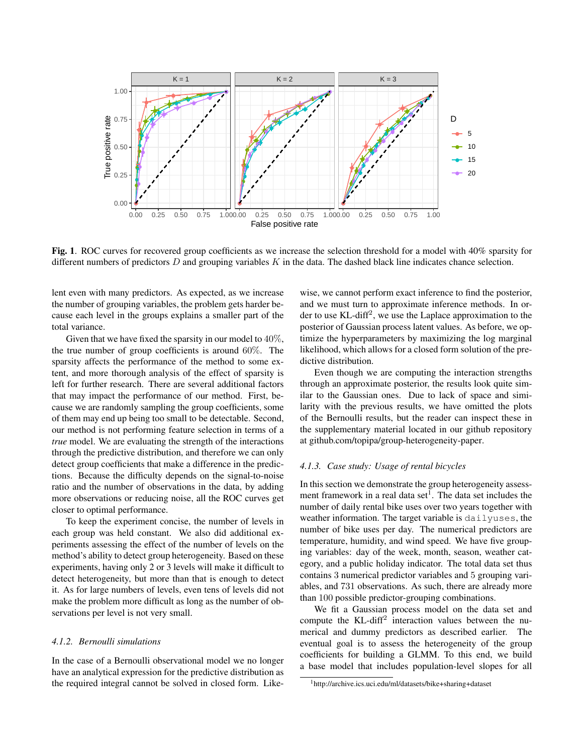

<span id="page-4-1"></span>Fig. 1. ROC curves for recovered group coefficients as we increase the selection threshold for a model with 40% sparsity for different numbers of predictors  $D$  and grouping variables  $K$  in the data. The dashed black line indicates chance selection.

lent even with many predictors. As expected, as we increase the number of grouping variables, the problem gets harder because each level in the groups explains a smaller part of the total variance.

Given that we have fixed the sparsity in our model to  $40\%$ , the true number of group coefficients is around 60%. The sparsity affects the performance of the method to some extent, and more thorough analysis of the effect of sparsity is left for further research. There are several additional factors that may impact the performance of our method. First, because we are randomly sampling the group coefficients, some of them may end up being too small to be detectable. Second, our method is not performing feature selection in terms of a *true* model. We are evaluating the strength of the interactions through the predictive distribution, and therefore we can only detect group coefficients that make a difference in the predictions. Because the difficulty depends on the signal-to-noise ratio and the number of observations in the data, by adding more observations or reducing noise, all the ROC curves get closer to optimal performance.

To keep the experiment concise, the number of levels in each group was held constant. We also did additional experiments assessing the effect of the number of levels on the method's ability to detect group heterogeneity. Based on these experiments, having only 2 or 3 levels will make it difficult to detect heterogeneity, but more than that is enough to detect it. As for large numbers of levels, even tens of levels did not make the problem more difficult as long as the number of observations per level is not very small.

## *4.1.2. Bernoulli simulations*

In the case of a Bernoulli observational model we no longer have an analytical expression for the predictive distribution as the required integral cannot be solved in closed form. Likewise, we cannot perform exact inference to find the posterior, and we must turn to approximate inference methods. In order to use KL-diff<sup>2</sup>, we use the Laplace approximation to the posterior of Gaussian process latent values. As before, we optimize the hyperparameters by maximizing the log marginal likelihood, which allows for a closed form solution of the predictive distribution.

Even though we are computing the interaction strengths through an approximate posterior, the results look quite similar to the Gaussian ones. Due to lack of space and similarity with the previous results, we have omitted the plots of the Bernoulli results, but the reader can inspect these in the supplementary material located in our github repository at [github.com/topipa/group-heterogeneity-paper.](https://github.com/topipa/group-heterogeneity-paper)

#### <span id="page-4-0"></span>*4.1.3. Case study: Usage of rental bicycles*

In this section we demonstrate the group heterogeneity assess-ment framework in a real data set<sup>[1](#page-4-2)</sup>. The data set includes the number of daily rental bike uses over two years together with weather information. The target variable is dailyuses, the number of bike uses per day. The numerical predictors are temperature, humidity, and wind speed. We have five grouping variables: day of the week, month, season, weather category, and a public holiday indicator. The total data set thus contains 3 numerical predictor variables and 5 grouping variables, and 731 observations. As such, there are already more than 100 possible predictor-grouping combinations.

We fit a Gaussian process model on the data set and compute the KL-diff<sup>2</sup> interaction values between the numerical and dummy predictors as described earlier. The eventual goal is to assess the heterogeneity of the group coefficients for building a GLMM. To this end, we build a base model that includes population-level slopes for all

<span id="page-4-2"></span><sup>1</sup>http://archive.ics.uci.edu/ml/datasets/bike+sharing+dataset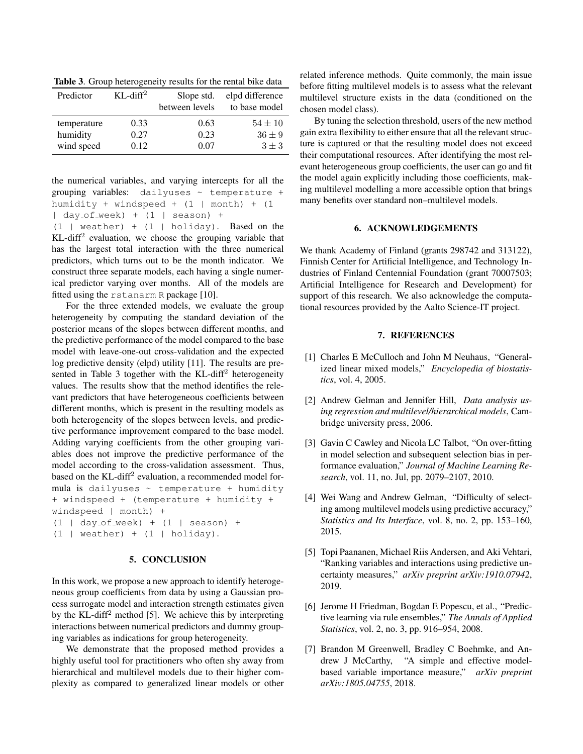<span id="page-5-8"></span>Table 3. Group heterogeneity results for the rental bike data

| Predictor   | $KL$ -diff <sup>2</sup> | Slope std.     | elpd difference |
|-------------|-------------------------|----------------|-----------------|
|             |                         | between levels | to base model   |
| temperature | 0.33                    | 0.63           | $54 \pm 10$     |
| humidity    | 0.27                    | 0.23           | $36 \pm 9$      |
| wind speed  | 0.12                    | 0.07           | $3 \pm 3$       |

the numerical variables, and varying intercepts for all the grouping variables: dailyuses  $\sim$  temperature + humidity + windspeed +  $(1 \mid month)$  +  $(1 \mid month)$  $\lceil$  day\_of\_week) +  $(1 \rceil$  season) +

 $(1 |$  weather) +  $(1 |$  holiday). Based on the KL-diff<sup>2</sup> evaluation, we choose the grouping variable that has the largest total interaction with the three numerical predictors, which turns out to be the month indicator. We construct three separate models, each having a single numerical predictor varying over months. All of the models are fitted using the rstanarm R package [\[10\]](#page-6-2).

For the three extended models, we evaluate the group heterogeneity by computing the standard deviation of the posterior means of the slopes between different months, and the predictive performance of the model compared to the base model with leave-one-out cross-validation and the expected log predictive density (elpd) utility [\[11\]](#page-6-3). The results are pre-sented in Table [3](#page-5-8) together with the KL-diff<sup>2</sup> heterogeneity values. The results show that the method identifies the relevant predictors that have heterogeneous coefficients between different months, which is present in the resulting models as both heterogeneity of the slopes between levels, and predictive performance improvement compared to the base model. Adding varying coefficients from the other grouping variables does not improve the predictive performance of the model according to the cross-validation assessment. Thus, based on the KL-diff<sup>2</sup> evaluation, a recommended model formula is dailyuses  $\sim$  temperature + humidity + windspeed + (temperature + humidity + windspeed | month) +  $(1 | day_of-week) + (1 | season) +$  $(1 | weather) + (1 | holiday).$ 

## 5. CONCLUSION

<span id="page-5-5"></span>In this work, we propose a new approach to identify heterogeneous group coefficients from data by using a Gaussian process surrogate model and interaction strength estimates given by the KL-diff<sup>2</sup> method [\[5\]](#page-5-4). We achieve this by interpreting interactions between numerical predictors and dummy grouping variables as indications for group heterogeneity.

We demonstrate that the proposed method provides a highly useful tool for practitioners who often shy away from hierarchical and multilevel models due to their higher complexity as compared to generalized linear models or other related inference methods. Quite commonly, the main issue before fitting multilevel models is to assess what the relevant multilevel structure exists in the data (conditioned on the chosen model class).

By tuning the selection threshold, users of the new method gain extra flexibility to either ensure that all the relevant structure is captured or that the resulting model does not exceed their computational resources. After identifying the most relevant heterogeneous group coefficients, the user can go and fit the model again explicitly including those coefficients, making multilevel modelling a more accessible option that brings many benefits over standard non–multilevel models.

#### 6. ACKNOWLEDGEMENTS

We thank Academy of Finland (grants 298742 and 313122), Finnish Center for Artificial Intelligence, and Technology Industries of Finland Centennial Foundation (grant 70007503; Artificial Intelligence for Research and Development) for support of this research. We also acknowledge the computational resources provided by the Aalto Science-IT project.

# 7. REFERENCES

- <span id="page-5-0"></span>[1] Charles E McCulloch and John M Neuhaus, "Generalized linear mixed models," *Encyclopedia of biostatistics*, vol. 4, 2005.
- <span id="page-5-1"></span>[2] Andrew Gelman and Jennifer Hill, *Data analysis using regression and multilevel/hierarchical models*, Cambridge university press, 2006.
- <span id="page-5-2"></span>[3] Gavin C Cawley and Nicola LC Talbot, "On over-fitting in model selection and subsequent selection bias in performance evaluation," *Journal of Machine Learning Research*, vol. 11, no. Jul, pp. 2079–2107, 2010.
- <span id="page-5-3"></span>[4] Wei Wang and Andrew Gelman, "Difficulty of selecting among multilevel models using predictive accuracy," *Statistics and Its Interface*, vol. 8, no. 2, pp. 153–160, 2015.
- <span id="page-5-4"></span>[5] Topi Paananen, Michael Riis Andersen, and Aki Vehtari, "Ranking variables and interactions using predictive uncertainty measures," *arXiv preprint arXiv:1910.07942*, 2019.
- <span id="page-5-6"></span>[6] Jerome H Friedman, Bogdan E Popescu, et al., "Predictive learning via rule ensembles," *The Annals of Applied Statistics*, vol. 2, no. 3, pp. 916–954, 2008.
- <span id="page-5-7"></span>[7] Brandon M Greenwell, Bradley C Boehmke, and Andrew J McCarthy, "A simple and effective modelbased variable importance measure," *arXiv preprint arXiv:1805.04755*, 2018.